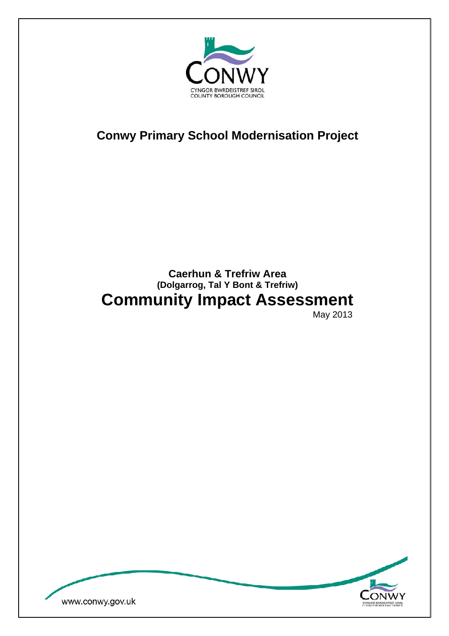

# **Conwy Primary School Modernisation Project**

## **Caerhun & Trefriw Area (Dolgarrog, Tal Y Bont & Trefriw) Community Impact Assessment**

May 2013



<span id="page-0-0"></span>www.conwy.gov.uk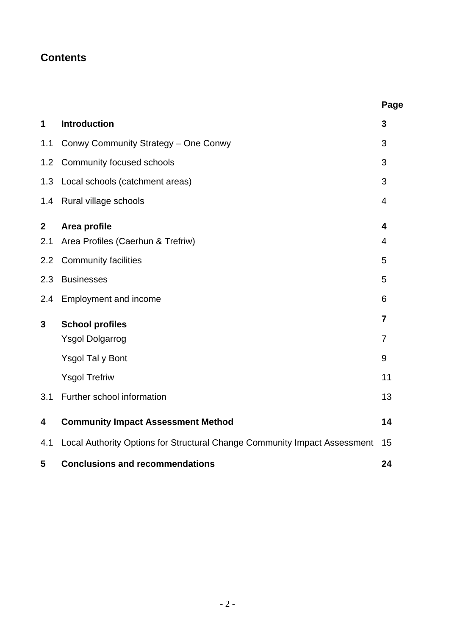## **Contents**

|                       |                                                                           | Page                             |
|-----------------------|---------------------------------------------------------------------------|----------------------------------|
| 1                     | <b>Introduction</b>                                                       | 3                                |
| 1.1                   | Conwy Community Strategy - One Conwy                                      | 3                                |
| 1.2                   | Community focused schools                                                 | 3                                |
| 1.3                   | Local schools (catchment areas)                                           | 3                                |
| 1.4                   | Rural village schools                                                     | $\overline{4}$                   |
| $\overline{2}$<br>2.1 | Area profile<br>Area Profiles (Caerhun & Trefriw)                         | $\overline{\mathbf{4}}$<br>4     |
| 2.2                   | <b>Community facilities</b>                                               | 5                                |
| 2.3                   | <b>Businesses</b>                                                         | 5                                |
| 2.4                   | Employment and income                                                     | 6                                |
| 3                     | <b>School profiles</b><br><b>Ysgol Dolgarrog</b>                          | $\overline{7}$<br>$\overline{7}$ |
|                       | <b>Ysgol Tal y Bont</b>                                                   | 9                                |
|                       | <b>Ysgol Trefriw</b>                                                      | 11                               |
| 3.1                   | Further school information                                                | 13                               |
| 4                     | <b>Community Impact Assessment Method</b>                                 | 14                               |
| 4.1                   | Local Authority Options for Structural Change Community Impact Assessment | 15                               |
| 5                     | <b>Conclusions and recommendations</b>                                    | 24                               |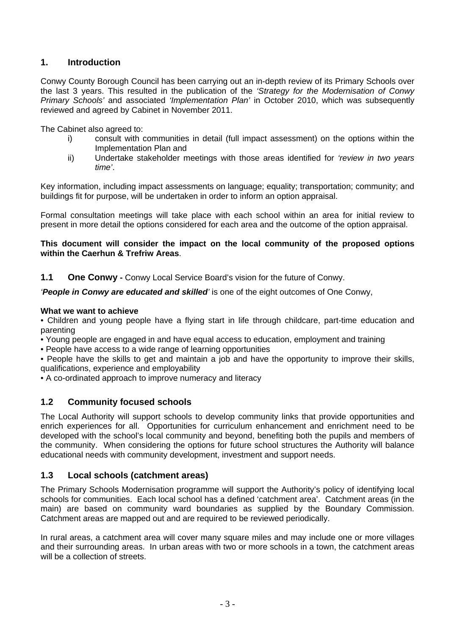### **1. Introduction**

Conwy County Borough Council has been carrying out an in-depth review of its Primary Schools over the last 3 years. This resulted in the publication of the *'Strategy for the Modernisation of Conwy Primary Schools'* and associated *'Implementation Plan'* in October 2010, which was subsequently reviewed and agreed by Cabinet in November 2011.

The Cabinet also agreed to:

- i) consult with communities in detail (full impact assessment) on the options within the Implementation Plan and
- ii) Undertake stakeholder meetings with those areas identified for *'review in two years time'*.

Key information, including impact assessments on language; equality; transportation; community; and buildings fit for purpose, will be undertaken in order to inform an option appraisal.

Formal consultation meetings will take place with each school within an area for initial review to present in more detail the options considered for each area and the outcome of the option appraisal.

#### **This document will consider the impact on the local community of the proposed options within the Caerhun & Trefriw Areas**.

**1.1 One Conwy - Conwy Local Service Board's vision for the future of Conwy.** 

*'People in Conwy are educated and skilled'* is one of the eight outcomes of One Conwy,

#### **What we want to achieve**

• Children and young people have a flying start in life through childcare, part-time education and parenting

- Young people are engaged in and have equal access to education, employment and training
- People have access to a wide range of learning opportunities
- People have the skills to get and maintain a job and have the opportunity to improve their skills, qualifications, experience and employability

• A co-ordinated approach to improve numeracy and literacy

## **1.2 Community focused schools**

The Local Authority will support schools to develop community links that provide opportunities and enrich experiences for all. Opportunities for curriculum enhancement and enrichment need to be developed with the school's local community and beyond, benefiting both the pupils and members of the community. When considering the options for future school structures the Authority will balance educational needs with community development, investment and support needs.

#### **1.3 Local schools (catchment areas)**

The Primary Schools Modernisation programme will support the Authority's policy of identifying local schools for communities. Each local school has a defined 'catchment area'. Catchment areas (in the main) are based on community ward boundaries as supplied by the Boundary Commission. Catchment areas are mapped out and are required to be reviewed periodically.

In rural areas, a catchment area will cover many square miles and may include one or more villages and their surrounding areas. In urban areas with two or more schools in a town, the catchment areas will be a collection of streets.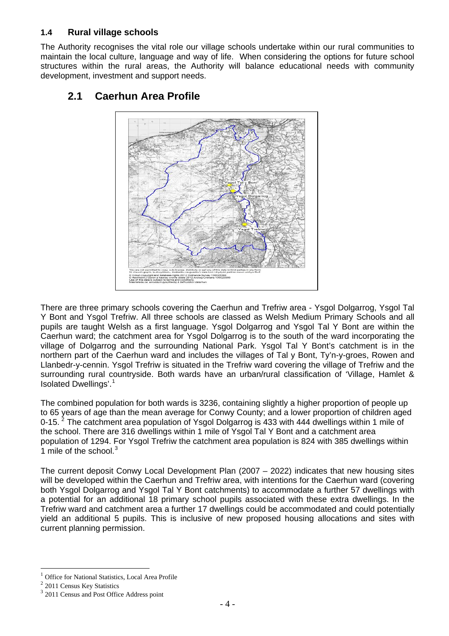#### **1.4 Rural village schools**

The Authority recognises the vital role our village schools undertake within our rural communities to maintain the local culture, language and way of life. When considering the options for future school structures within the rural areas, the Authority will balance educational needs with community development, investment and support needs.



## **2.1 Caerhun Area Profile**

There are three primary schools covering the Caerhun and Trefriw area - Ysgol Dolgarrog, Ysgol Tal Y Bont and Ysgol Trefriw. All three schools are classed as Welsh Medium Primary Schools and all pupils are taught Welsh as a first language. Ysgol Dolgarrog and Ysgol Tal Y Bont are within the Caerhun ward; the catchment area for Ysgol Dolgarrog is to the south of the ward incorporating the village of Dolgarrog and the surrounding National Park. Ysgol Tal Y Bont's catchment is in the northern part of the Caerhun ward and includes the villages of Tal y Bont, Ty'n-y-groes, Rowen and Llanbedr-y-cennin. Ysgol Trefriw is situated in the Trefriw ward covering the village of Trefriw and the surrounding rural countryside. Both wards have an urban/rural classification of 'Village, Hamlet & Isolated Dwellings'.[1](#page-0-0)

The combined population for both wards is 3236, containing slightly a higher proportion of people up to 65 years of age than the mean average for Conwy County; and a lower proportion of children aged 0-15.<sup>[2](#page-3-0)</sup> The catchment area population of Ysgol Dolgarrog is 433 with 444 dwellings within 1 mile of the school. There are 316 dwellings within 1 mile of Ysgol Tal Y Bont and a catchment area population of 1294. For Ysgol Trefriw the catchment area population is 824 with 385 dwellings within 1 mile of the school.<sup>[3](#page-3-1)</sup>

The current deposit Conwy Local Development Plan (2007 – 2022) indicates that new housing sites will be developed within the Caerhun and Trefriw area, with intentions for the Caerhun ward (covering both Ysgol Dolgarrog and Ysgol Tal Y Bont catchments) to accommodate a further 57 dwellings with a potential for an additional 18 primary school pupils associated with these extra dwellings. In the Trefriw ward and catchment area a further 17 dwellings could be accommodated and could potentially yield an additional 5 pupils. This is inclusive of new proposed housing allocations and sites with current planning permission.

 $\overline{a}$ 

<sup>1</sup> Office for National Statistics, Local Area Profile

<span id="page-3-0"></span><sup>&</sup>lt;sup>2</sup> 2011 Census Key Statistics

<span id="page-3-1"></span><sup>&</sup>lt;sup>3</sup> 2011 Census and Post Office Address point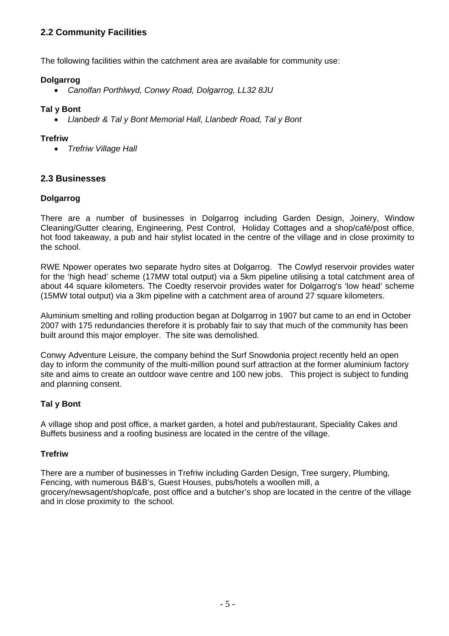## **2.2 Community Facilities**

The following facilities within the catchment area are available for community use:

#### **Dolgarrog**

*Canolfan Porthlwyd, Conwy Road, Dolgarrog, LL32 8JU* 

#### **Tal y Bont**

*Llanbedr & Tal y Bont Memorial Hall, Llanbedr Road, Tal y Bont* 

#### **Trefriw**

*Trefriw Village Hall* 

### **2.3 Businesses**

#### **Dolgarrog**

There are a number of businesses in Dolgarrog including Garden Design, Joinery, Window Cleaning/Gutter clearing, Engineering, Pest Control, Holiday Cottages and a shop/café/post office, hot food takeaway, a pub and hair stylist located in the centre of the village and in close proximity to the school.

RWE Npower operates two separate hydro sites at Dolgarrog. The Cowlyd reservoir provides water for the 'high head' scheme (17MW total output) via a 5km pipeline utilising a total catchment area of about 44 square kilometers. The Coedty reservoir provides water for Dolgarrog's 'low head' scheme (15MW total output) via a 3km pipeline with a catchment area of around 27 square kilometers.

Aluminium smelting and rolling production began at Dolgarrog in 1907 but came to an end in October 2007 with 175 redundancies therefore it is probably fair to say that much of the community has been built around this major employer. The site was demolished.

Conwy Adventure Leisure, the company behind the Surf Snowdonia project recently held an open day to inform the community of the multi-million pound surf attraction at the former aluminium factory site and aims to create an outdoor wave centre and 100 new jobs. This project is subject to funding and planning consent.

#### **Tal y Bont**

A village shop and post office, a market garden, a hotel and pub/restaurant, Speciality Cakes and Buffets business and a roofing business are located in the centre of the village.

#### **Trefriw**

There are a number of businesses in Trefriw including Garden Design, Tree surgery, Plumbing, Fencing, with numerous B&B's, Guest Houses, pubs/hotels a woollen mill, a grocery/newsagent/shop/cafe, post office and a butcher's shop are located in the centre of the village and in close proximity to the school.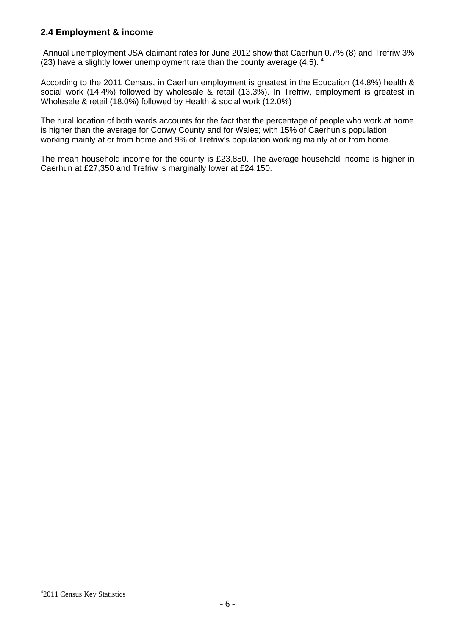## **2.4 Employment & income**

Annual unemployment JSA claimant rates for June 2012 show that Caerhun 0.7% (8) and Trefriw 3% (23) have a slightly lower unemployment rate than the county average ([4](#page-3-1).5).  $4$ 

According to the 2011 Census, in Caerhun employment is greatest in the Education (14.8%) health & social work (14.4%) followed by wholesale & retail (13.3%). In Trefriw, employment is greatest in Wholesale & retail (18.0%) followed by Health & social work (12.0%)

The rural location of both wards accounts for the fact that the percentage of people who work at home is higher than the average for Conwy County and for Wales; with 15% of Caerhun's population working mainly at or from home and 9% of Trefriw's population working mainly at or from home.

The mean household income for the county is £23,850. The average household income is higher in Caerhun at £27,350 and Trefriw is marginally lower at £24,150.

 $\overline{a}$ 

<span id="page-5-0"></span><sup>4</sup> 2011 Census Key Statistics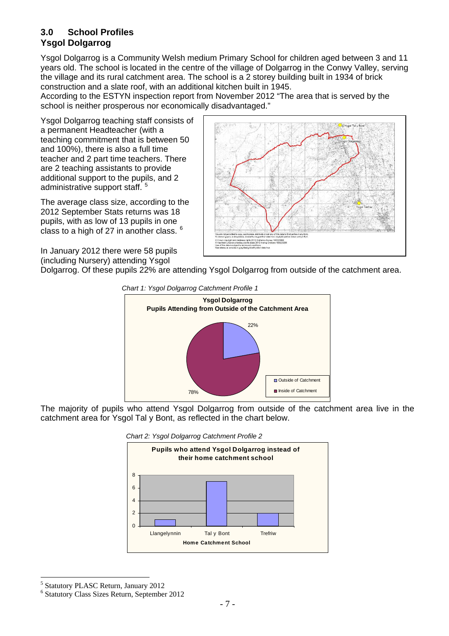### **3.0 School Profiles Ysgol Dolgarrog**

Ysgol Dolgarrog is a Community Welsh medium Primary School for children aged between 3 and 11 years old. The school is located in the centre of the village of Dolgarrog in the Conwy Valley, serving the village and its rural catchment area. The school is a 2 storey building built in 1934 of brick construction and a slate roof, with an additional kitchen built in 1945.

According to the ESTYN inspection report from November 2012 "The area that is served by the school is neither prosperous nor economically disadvantaged."

Ysgol Dolgarrog teaching staff consists of a permanent Headteacher (with a teaching commitment that is between 50 and 100%), there is also a full time teacher and 2 part time teachers. There are 2 teaching assistants to provide additional support to the pupils, and 2 administrative support staff. [5](#page-5-0)

The average class size, according to the 2012 September Stats returns was 18 pupils, with as low of 13 pupils in one class to a high of 27 in another class. [6](#page-6-0)

In January 2012 there were 58 pupils (including Nursery) attending Ysgol

Dolgarrog. Of these pupils 22% are attending Ysgol Dolgarrog from outside of the catchment area.



The majority of pupils who attend Ysgol Dolgarrog from outside of the catchment area live in the catchment area for Ysgol Tal y Bont, as reflected in the chart below.





<span id="page-6-1"></span> $\overline{a}$ 5 Statutory PLASC Return, January 2012



<span id="page-6-0"></span><sup>6</sup> Statutory Class Sizes Return, September 2012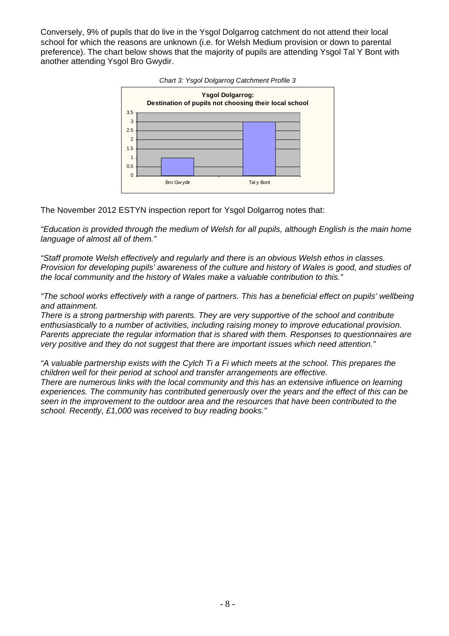Conversely, 9% of pupils that do live in the Ysgol Dolgarrog catchment do not attend their local school for which the reasons are unknown (i.e. for Welsh Medium provision or down to parental preference). The chart below shows that the majority of pupils are attending Ysgol Tal Y Bont with another attending Ysgol Bro Gwydir.



The November 2012 ESTYN inspection report for Ysgol Dolgarrog notes that:

*"Education is provided through the medium of Welsh for all pupils, although English is the main home language of almost all of them."* 

*"Staff promote Welsh effectively and regularly and there is an obvious Welsh ethos in classes. Provision for developing pupils' awareness of the culture and history of Wales is good, and studies of the local community and the history of Wales make a valuable contribution to this."* 

*"The school works effectively with a range of partners. This has a beneficial effect on pupils' wellbeing and attainment.* 

*There is a strong partnership with parents. They are very supportive of the school and contribute enthusiastically to a number of activities, including raising money to improve educational provision. Parents appreciate the regular information that is shared with them. Responses to questionnaires are very positive and they do not suggest that there are important issues which need attention."* 

*"A valuable partnership exists with the Cylch Ti a Fi which meets at the school. This prepares the children well for their period at school and transfer arrangements are effective. There are numerous links with the local community and this has an extensive influence on learning experiences. The community has contributed generously over the years and the effect of this can be seen in the improvement to the outdoor area and the resources that have been contributed to the school. Recently, £1,000 was received to buy reading books."*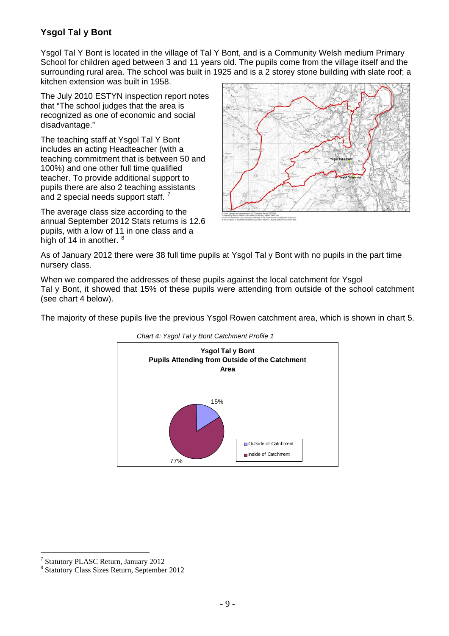## **Ysgol Tal y Bont**

Ysgol Tal Y Bont is located in the village of Tal Y Bont, and is a Community Welsh medium Primary School for children aged between 3 and 11 years old. The pupils come from the village itself and the surrounding rural area. The school was built in 1925 and is a 2 storey stone building with slate roof; a kitchen extension was built in 1958.

The July 2010 ESTYN inspection report notes that "The school judges that the area is recognized as one of economic and social disadvantage."

The teaching staff at Ysgol Tal Y Bont includes an acting Headteacher (with a teaching commitment that is between 50 and 100%) and one other full time qualified teacher. To provide additional support to pupils there are also 2 teaching assistants and 2 special needs support staff.<sup>[7](#page-6-1)</sup>

The average class size according to the annual September 2012 Stats returns is 12.6 pupils, with a low of 11 in one class and a high of 14 in another. <sup>[8](#page-8-0)</sup>



As of January 2012 there were 38 full time pupils at Ysgol Tal y Bont with no pupils in the part time nursery class.

When we compared the addresses of these pupils against the local catchment for Ysgol Tal y Bont, it showed that 15% of these pupils were attending from outside of the school catchment (see chart 4 below).

The majority of these pupils live the previous Ysgol Rowen catchment area, which is shown in chart 5.





 $\overline{a}$ 

<sup>7</sup> Statutory PLASC Return, January 2012

<span id="page-8-1"></span><span id="page-8-0"></span><sup>8</sup> Statutory Class Sizes Return, September 2012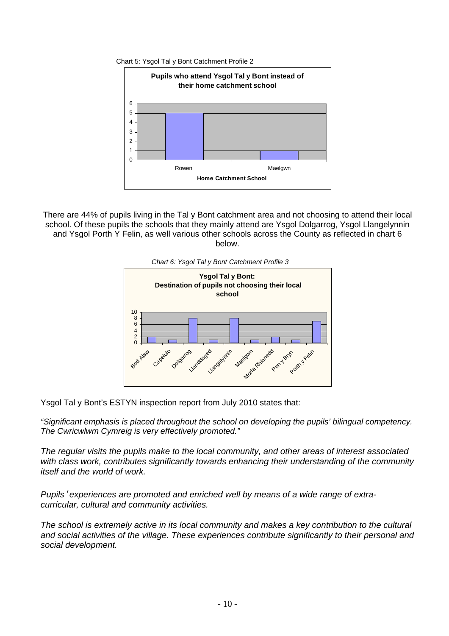



There are 44% of pupils living in the Tal y Bont catchment area and not choosing to attend their local school. Of these pupils the schools that they mainly attend are Ysgol Dolgarrog, Ysgol Llangelynnin and Ysgol Porth Y Felin, as well various other schools across the County as reflected in chart 6 below.



 *Chart 6: Ysgol Tal y Bont Catchment Profile 3*

Ysgol Tal y Bont's ESTYN inspection report from July 2010 states that:

*"Significant emphasis is placed throughout the school on developing the pupils' bilingual competency. The Cwricwlwm Cymreig is very effectively promoted."* 

*The regular visits the pupils make to the local community, and other areas of interest associated with class work, contributes significantly towards enhancing their understanding of the community itself and the world of work.* 

*Pupils*' *experiences are promoted and enriched well by means of a wide range of extracurricular, cultural and community activities.* 

*The school is extremely active in its local community and makes a key contribution to the cultural and social activities of the village. These experiences contribute significantly to their personal and social development.*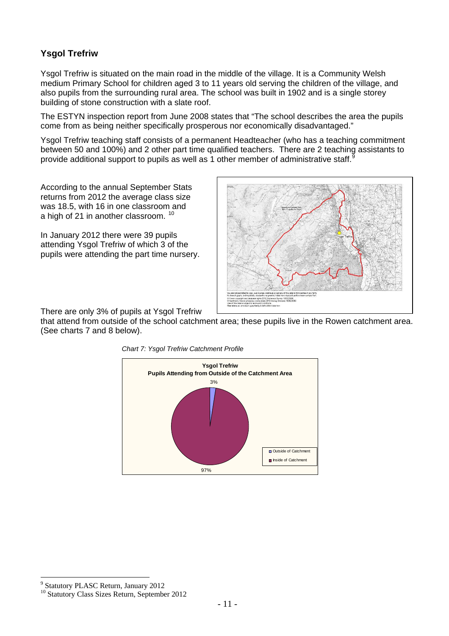## **Ysgol Trefriw**

Ysgol Trefriw is situated on the main road in the middle of the village. It is a Community Welsh medium Primary School for children aged 3 to 11 years old serving the children of the village, and also pupils from the surrounding rural area. The school was built in 1902 and is a single storey building of stone construction with a slate roof.

The ESTYN inspection report from June 2008 states that "The school describes the area the pupils come from as being neither specifically prosperous nor economically disadvantaged."

Ysgol Trefriw teaching staff consists of a permanent Headteacher (who has a teaching commitment between 50 and 100%) and 2 other part time qualified teachers. There are 2 teaching assistants to provide additional support to pupils as well as 1 other member of administrative staff.<sup>[9](#page-8-1)</sup>

According to the annual September Stats returns from 2012 the average class size was 18.5, with 16 in one classroom and a high of 21 in another classroom.<sup>[10](#page-10-0)</sup>

In January 2012 there were 39 pupils attending Ysgol Trefriw of which 3 of the pupils were attending the part time nursery.



There are only 3% of pupils at Ysgol Trefriw

that attend from outside of the school catchment area; these pupils live in the Rowen catchment area. (See charts 7 and 8 below).





 $\overline{a}$ <sup>9</sup> Statutory PLASC Return, January 2012

<span id="page-10-0"></span><sup>&</sup>lt;sup>10</sup> Statutory Class Sizes Return, September 2012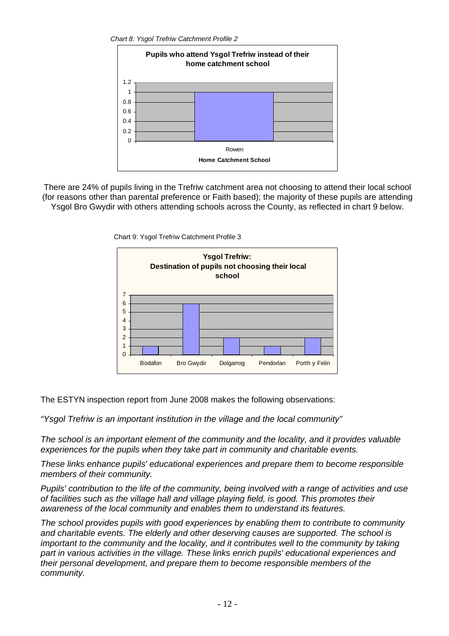*Chart 8: Ysgol Trefriw Catchment Profile 2*



There are 24% of pupils living in the Trefriw catchment area not choosing to attend their local school (for reasons other than parental preference or Faith based); the majority of these pupils are attending Ysgol Bro Gwydir with others attending schools across the County, as reflected in chart 9 below.



Chart 9: Ysgol Trefriw Catchment Profile 3

The ESTYN inspection report from June 2008 makes the following observations:

*"Ysgol Trefriw is an important institution in the village and the local community"* 

*The school is an important element of the community and the locality, and it provides valuable experiences for the pupils when they take part in community and charitable events.* 

*These links enhance pupils' educational experiences and prepare them to become responsible members of their community.* 

*Pupils' contribution to the life of the community, being involved with a range of activities and use of facilities such as the village hall and village playing field, is good. This promotes their awareness of the local community and enables them to understand its features.* 

*The school provides pupils with good experiences by enabling them to contribute to community and charitable events. The elderly and other deserving causes are supported. The school is important to the community and the locality, and it contributes well to the community by taking part in various activities in the village. These links enrich pupils' educational experiences and their personal development, and prepare them to become responsible members of the community.*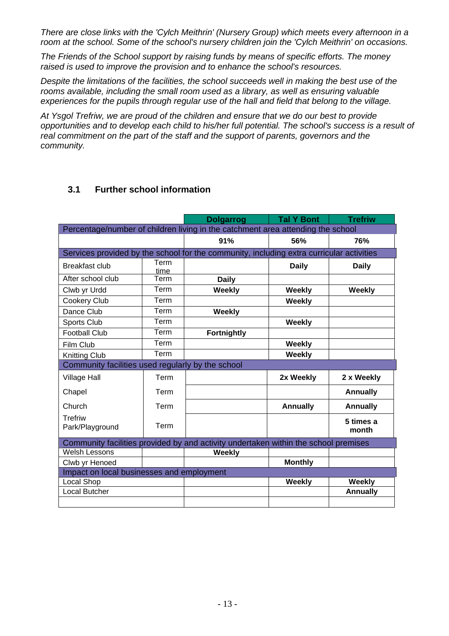*There are close links with the 'Cylch Meithrin' (Nursery Group) which meets every afternoon in a room at the school. Some of the school's nursery children join the 'Cylch Meithrin' on occasions.* 

*The Friends of the School support by raising funds by means of specific efforts. The money raised is used to improve the provision and to enhance the school's resources.* 

*Despite the limitations of the facilities, the school succeeds well in making the best use of the rooms available, including the small room used as a library, as well as ensuring valuable experiences for the pupils through regular use of the hall and field that belong to the village.* 

*At Ysgol Trefriw, we are proud of the children and ensure that we do our best to provide opportunities and to develop each child to his/her full potential. The school's success is a result of real commitment on the part of the staff and the support of parents, governors and the community.* 

## **3.1 Further school information**

|                                                   |              | <b>Dolgarrog</b>                                                                         | <b>Tal Y Bont</b> | <b>Trefriw</b>     |
|---------------------------------------------------|--------------|------------------------------------------------------------------------------------------|-------------------|--------------------|
|                                                   |              | Percentage/number of children living in the catchment area attending the school          |                   |                    |
|                                                   |              | 91%                                                                                      | 56%               | 76%                |
|                                                   |              | Services provided by the school for the community, including extra curricular activities |                   |                    |
| <b>Breakfast club</b>                             | Term<br>time |                                                                                          | <b>Daily</b>      | <b>Daily</b>       |
| After school club                                 | Term         | <b>Daily</b>                                                                             |                   |                    |
| Clwb yr Urdd                                      | Term         | <b>Weekly</b>                                                                            | <b>Weekly</b>     | <b>Weekly</b>      |
| <b>Cookery Club</b>                               | Term         |                                                                                          | Weekly            |                    |
| Dance Club                                        | Term         | Weekly                                                                                   |                   |                    |
| Sports Club                                       | Term         |                                                                                          | Weekly            |                    |
| <b>Football Club</b>                              | Term         | <b>Fortnightly</b>                                                                       |                   |                    |
| Film Club                                         | Term         |                                                                                          | Weekly            |                    |
| <b>Knitting Club</b>                              | Term         |                                                                                          | <b>Weekly</b>     |                    |
| Community facilities used regularly by the school |              |                                                                                          |                   |                    |
| <b>Village Hall</b>                               | Term         |                                                                                          | 2x Weekly         | 2 x Weekly         |
| Chapel                                            | Term         |                                                                                          |                   | <b>Annually</b>    |
| Church                                            | Term         |                                                                                          | <b>Annually</b>   | <b>Annually</b>    |
| <b>Trefriw</b><br>Park/Playground                 | Term         |                                                                                          |                   | 5 times a<br>month |
|                                                   |              | Community facilities provided by and activity undertaken within the school premises      |                   |                    |
| <b>Welsh Lessons</b>                              |              | <b>Weekly</b>                                                                            |                   |                    |
| Clwb yr Henoed                                    |              |                                                                                          | <b>Monthly</b>    |                    |
| Impact on local businesses and employment         |              |                                                                                          |                   |                    |
| Local Shop                                        |              |                                                                                          | Weekly            | <b>Weekly</b>      |
| Local Butcher                                     |              |                                                                                          |                   | <b>Annually</b>    |
|                                                   |              |                                                                                          |                   |                    |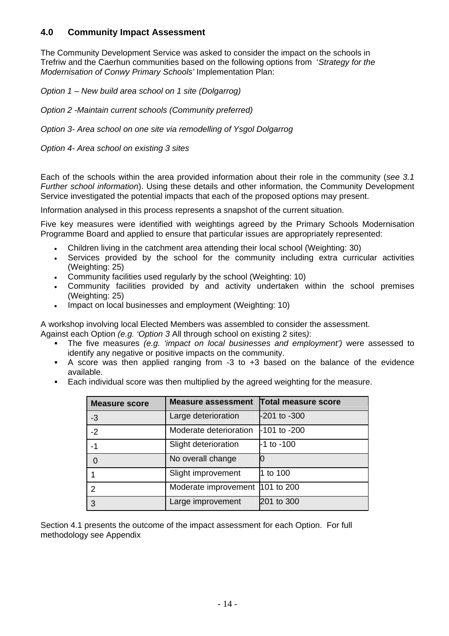### **4.0 Community Impact Assessment**

The Community Development Service was asked to consider the impact on the schools in Trefriw and the Caerhun communities based on the following options from '*Strategy for the Modernisation of Conwy Primary Schools'* Implementation Plan:

*Option 1 – New build area school on 1 site (Dolgarrog)* 

*Option 2 -Maintain current schools (Community preferred)* 

*Option 3- Area school on one site via remodelling of Ysgol Dolgarrog* 

*Option 4- Area school on existing 3 sites* 

Each of the schools within the area provided information about their role in the community (*see 3.1 Further school information*). Using these details and other information, the Community Development Service investigated the potential impacts that each of the proposed options may present.

Information analysed in this process represents a snapshot of the current situation.

Five key measures were identified with weightings agreed by the Primary Schools Modernisation Programme Board and applied to ensure that particular issues are appropriately represented:

- Children living in the catchment area attending their local school (Weighting: 30)
- Services provided by the school for the community including extra curricular activities (Weighting: 25)
- Community facilities used regularly by the school (Weighting: 10)
- Community facilities provided by and activity undertaken within the school premises (Weighting: 25)
- Impact on local businesses and employment (Weighting: 10)

A workshop involving local Elected Members was assembled to consider the assessment.

Against each Option *(e.g. 'Option 3* All through school on existing 2 sites*)*:

- The five measures *(e.g. 'impact on local businesses and employment')* were assessed to identify any negative or positive impacts on the community.
- A score was then applied ranging from -3 to +3 based on the balance of the evidence available.
- Each individual score was then multiplied by the agreed weighting for the measure.

| <b>Measure score</b> | <b>Measure assessment</b>       | <b>Total measure score</b> |
|----------------------|---------------------------------|----------------------------|
| $-3$                 | Large deterioration             | $-201$ to $-300$           |
| $-2$                 | Moderate deterioration          | $-101$ to $-200$           |
| $-1$                 | Slight deterioration            | $-1$ to $-100$             |
| $\overline{0}$       | No overall change               |                            |
|                      | Slight improvement              | 1 to 100                   |
| 2                    | Moderate improvement 101 to 200 |                            |
| 3                    | Large improvement               | 201 to 300                 |

Section 4.1 presents the outcome of the impact assessment for each Option. For full methodology see Appendix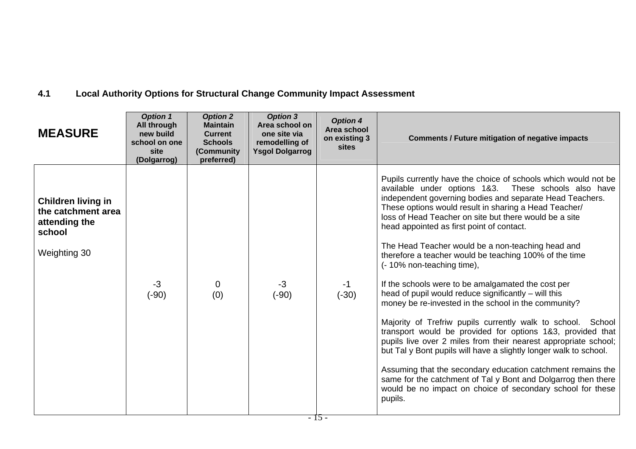| <b>MEASURE</b>                                                                             | <b>Option 1</b><br>All through<br>new build<br>school on one<br>site<br>(Dolgarrog) | <b>Option 2</b><br><b>Maintain</b><br><b>Current</b><br><b>Schools</b><br>(Community<br>preferred) | <b>Option 3</b><br>Area school on<br>one site via<br>remodelling of<br><b>Ysgol Dolgarrog</b> | <b>Option 4</b><br>Area school<br>on existing 3<br><b>sites</b> | <b>Comments / Future mitigation of negative impacts</b>                                                                                                                                                                                                                                                                                                                                                                                                                                                                                                                                                                                                                                                                                                                                                                                                                                                                                                                                                                                                                                                                                             |
|--------------------------------------------------------------------------------------------|-------------------------------------------------------------------------------------|----------------------------------------------------------------------------------------------------|-----------------------------------------------------------------------------------------------|-----------------------------------------------------------------|-----------------------------------------------------------------------------------------------------------------------------------------------------------------------------------------------------------------------------------------------------------------------------------------------------------------------------------------------------------------------------------------------------------------------------------------------------------------------------------------------------------------------------------------------------------------------------------------------------------------------------------------------------------------------------------------------------------------------------------------------------------------------------------------------------------------------------------------------------------------------------------------------------------------------------------------------------------------------------------------------------------------------------------------------------------------------------------------------------------------------------------------------------|
| <b>Children living in</b><br>the catchment area<br>attending the<br>school<br>Weighting 30 | $-3$<br>$(-90)$                                                                     | $\mathbf 0$<br>(0)                                                                                 | $-3$<br>$(-90)$                                                                               | $-1$<br>$(-30)$                                                 | Pupils currently have the choice of schools which would not be<br>available under options 1&3. These schools also have<br>independent governing bodies and separate Head Teachers.<br>These options would result in sharing a Head Teacher/<br>loss of Head Teacher on site but there would be a site<br>head appointed as first point of contact.<br>The Head Teacher would be a non-teaching head and<br>therefore a teacher would be teaching 100% of the time<br>(- 10% non-teaching time),<br>If the schools were to be amalgamated the cost per<br>head of pupil would reduce significantly - will this<br>money be re-invested in the school in the community?<br>Majority of Trefriw pupils currently walk to school. School<br>transport would be provided for options 1&3, provided that<br>pupils live over 2 miles from their nearest appropriate school;<br>but Tal y Bont pupils will have a slightly longer walk to school.<br>Assuming that the secondary education catchment remains the<br>same for the catchment of Tal y Bont and Dolgarrog then there<br>would be no impact on choice of secondary school for these<br>pupils. |

## **4.1 Local Authority Options for Structural Change Community Impact Assessment**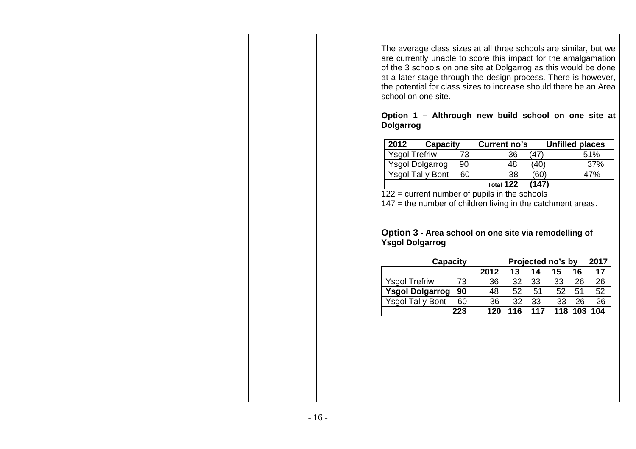|  |  | The average class sizes at all three schools are similar, but we<br>are currently unable to score this impact for the amalgamation<br>of the 3 schools on one site at Dolgarrog as this would be done<br>at a later stage through the design process. There is however,<br>the potential for class sizes to increase should there be an Area<br>school on one site.<br>Option 1 - Althrough new build school on one site at<br><b>Dolgarrog</b> |                     |                   |                        |                 |
|--|--|-------------------------------------------------------------------------------------------------------------------------------------------------------------------------------------------------------------------------------------------------------------------------------------------------------------------------------------------------------------------------------------------------------------------------------------------------|---------------------|-------------------|------------------------|-----------------|
|  |  | 2012<br><b>Capacity</b>                                                                                                                                                                                                                                                                                                                                                                                                                         | <b>Current no's</b> |                   | <b>Unfilled places</b> |                 |
|  |  |                                                                                                                                                                                                                                                                                                                                                                                                                                                 |                     |                   |                        |                 |
|  |  | Ysgol Trefriw<br>73                                                                                                                                                                                                                                                                                                                                                                                                                             |                     | 36<br>(47)        |                        | 51%             |
|  |  | <b>Ysgol Dolgarrog</b><br>90                                                                                                                                                                                                                                                                                                                                                                                                                    |                     | 48<br>(40)        |                        | 37%             |
|  |  | 60<br>Ysgol Tal y Bont                                                                                                                                                                                                                                                                                                                                                                                                                          |                     | (60)<br>38        |                        | 47%             |
|  |  |                                                                                                                                                                                                                                                                                                                                                                                                                                                 | Total 122           | (147)             |                        |                 |
|  |  | $122$ = current number of pupils in the schools                                                                                                                                                                                                                                                                                                                                                                                                 |                     |                   |                        |                 |
|  |  | 147 = the number of children living in the catchment areas.                                                                                                                                                                                                                                                                                                                                                                                     |                     |                   |                        |                 |
|  |  | Option 3 - Area school on one site via remodelling of<br><b>Ysgol Dolgarrog</b>                                                                                                                                                                                                                                                                                                                                                                 |                     |                   |                        |                 |
|  |  | <b>Capacity</b>                                                                                                                                                                                                                                                                                                                                                                                                                                 |                     | Projected no's by |                        | 2017            |
|  |  |                                                                                                                                                                                                                                                                                                                                                                                                                                                 | 2012                | 14<br>13          | 16<br>15               | 17              |
|  |  | <b>Ysgol Trefriw</b><br>$\overline{73}$                                                                                                                                                                                                                                                                                                                                                                                                         | 36                  | 33<br>32          | 33<br>26               | $\overline{26}$ |
|  |  | 90<br><b>Ysgol Dolgarrog</b>                                                                                                                                                                                                                                                                                                                                                                                                                    | 48                  | 52<br>51          | 51<br>52               | 52              |
|  |  | Ysgol Tal y Bont<br>60                                                                                                                                                                                                                                                                                                                                                                                                                          | 36                  | 32<br>33          | 33<br>26               | 26              |
|  |  | 223                                                                                                                                                                                                                                                                                                                                                                                                                                             |                     | 120 116<br>117    | 118 103 104            |                 |
|  |  |                                                                                                                                                                                                                                                                                                                                                                                                                                                 |                     |                   |                        |                 |
|  |  |                                                                                                                                                                                                                                                                                                                                                                                                                                                 |                     |                   |                        |                 |
|  |  |                                                                                                                                                                                                                                                                                                                                                                                                                                                 |                     |                   |                        |                 |
|  |  |                                                                                                                                                                                                                                                                                                                                                                                                                                                 |                     |                   |                        |                 |
|  |  |                                                                                                                                                                                                                                                                                                                                                                                                                                                 |                     |                   |                        |                 |
|  |  |                                                                                                                                                                                                                                                                                                                                                                                                                                                 |                     |                   |                        |                 |
|  |  |                                                                                                                                                                                                                                                                                                                                                                                                                                                 |                     |                   |                        |                 |
|  |  |                                                                                                                                                                                                                                                                                                                                                                                                                                                 |                     |                   |                        |                 |
|  |  |                                                                                                                                                                                                                                                                                                                                                                                                                                                 |                     |                   |                        |                 |
|  |  |                                                                                                                                                                                                                                                                                                                                                                                                                                                 |                     |                   |                        |                 |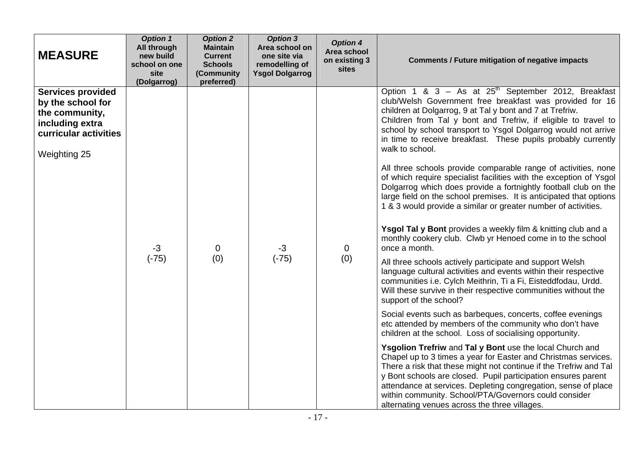| <b>MEASURE</b>                                                                                                              | <b>Option 1</b><br>All through<br>new build<br>school on one<br>site<br>(Dolgarrog) | <b>Option 2</b><br><b>Maintain</b><br><b>Current</b><br><b>Schools</b><br>(Community<br>preferred) | <b>Option 3</b><br>Area school on<br>one site via<br>remodelling of<br><b>Ysgol Dolgarrog</b> | <b>Option 4</b><br>Area school<br>on existing 3<br><b>sites</b> | <b>Comments / Future mitigation of negative impacts</b>                                                                                                                                                                                                                                                                                                                                                                                      |
|-----------------------------------------------------------------------------------------------------------------------------|-------------------------------------------------------------------------------------|----------------------------------------------------------------------------------------------------|-----------------------------------------------------------------------------------------------|-----------------------------------------------------------------|----------------------------------------------------------------------------------------------------------------------------------------------------------------------------------------------------------------------------------------------------------------------------------------------------------------------------------------------------------------------------------------------------------------------------------------------|
| <b>Services provided</b><br>by the school for<br>the community,<br>including extra<br>curricular activities<br>Weighting 25 |                                                                                     |                                                                                                    |                                                                                               |                                                                 | Option 1 & 3 - As at $25th$ September 2012, Breakfast<br>club/Welsh Government free breakfast was provided for 16<br>children at Dolgarrog, 9 at Tal y bont and 7 at Trefriw.<br>Children from Tal y bont and Trefriw, if eligible to travel to<br>school by school transport to Ysgol Dolgarrog would not arrive<br>in time to receive breakfast. These pupils probably currently<br>walk to school.                                        |
|                                                                                                                             |                                                                                     |                                                                                                    |                                                                                               |                                                                 | All three schools provide comparable range of activities, none<br>of which require specialist facilities with the exception of Ysgol<br>Dolgarrog which does provide a fortnightly football club on the<br>large field on the school premises. It is anticipated that options<br>1 & 3 would provide a similar or greater number of activities.                                                                                              |
|                                                                                                                             | $-3$<br>$(-75)$                                                                     | $\mathbf 0$<br>(0)                                                                                 | $-3$<br>$(-75)$                                                                               | $\overline{0}$<br>(0)                                           | Ysgol Tal y Bont provides a weekly film & knitting club and a<br>monthly cookery club. Clwb yr Henoed come in to the school<br>once a month.                                                                                                                                                                                                                                                                                                 |
|                                                                                                                             |                                                                                     |                                                                                                    |                                                                                               |                                                                 | All three schools actively participate and support Welsh<br>language cultural activities and events within their respective<br>communities i.e. Cylch Meithrin, Ti a Fi, Eisteddfodau, Urdd.<br>Will these survive in their respective communities without the<br>support of the school?                                                                                                                                                     |
|                                                                                                                             |                                                                                     |                                                                                                    |                                                                                               |                                                                 | Social events such as barbeques, concerts, coffee evenings<br>etc attended by members of the community who don't have<br>children at the school. Loss of socialising opportunity.                                                                                                                                                                                                                                                            |
|                                                                                                                             |                                                                                     |                                                                                                    |                                                                                               |                                                                 | Ysgolion Trefriw and Tal y Bont use the local Church and<br>Chapel up to 3 times a year for Easter and Christmas services.<br>There a risk that these might not continue if the Trefriw and Tal<br>y Bont schools are closed. Pupil participation ensures parent<br>attendance at services. Depleting congregation, sense of place<br>within community. School/PTA/Governors could consider<br>alternating venues across the three villages. |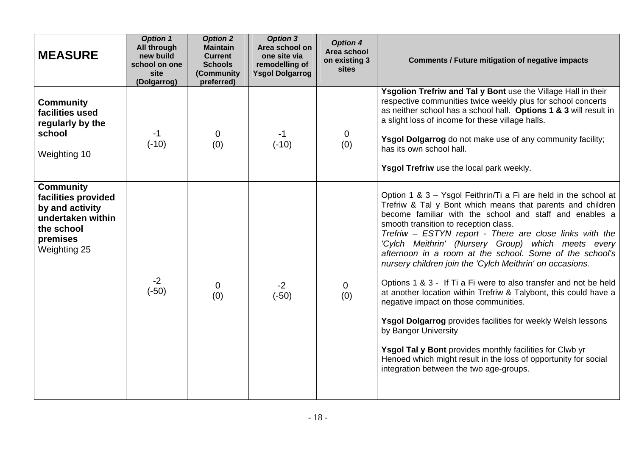| <b>MEASURE</b>                                                                                                            | <b>Option 1</b><br>All through<br>new build<br>school on one<br>site<br>(Dolgarrog) | <b>Option 2</b><br><b>Maintain</b><br><b>Current</b><br><b>Schools</b><br>(Community<br>preferred) | <b>Option 3</b><br>Area school on<br>one site via<br>remodelling of<br><b>Ysgol Dolgarrog</b> | <b>Option 4</b><br>Area school<br>on existing 3<br>sites | <b>Comments / Future mitigation of negative impacts</b>                                                                                                                                                                                                                                                                                                                                                                                                                                                                                                                                                                                                                                                                                                                                                                                                                                                                      |
|---------------------------------------------------------------------------------------------------------------------------|-------------------------------------------------------------------------------------|----------------------------------------------------------------------------------------------------|-----------------------------------------------------------------------------------------------|----------------------------------------------------------|------------------------------------------------------------------------------------------------------------------------------------------------------------------------------------------------------------------------------------------------------------------------------------------------------------------------------------------------------------------------------------------------------------------------------------------------------------------------------------------------------------------------------------------------------------------------------------------------------------------------------------------------------------------------------------------------------------------------------------------------------------------------------------------------------------------------------------------------------------------------------------------------------------------------------|
| <b>Community</b><br>facilities used<br>regularly by the<br>school<br>Weighting 10                                         | $-1$<br>$(-10)$                                                                     | $\overline{0}$<br>(0)                                                                              | $-1$<br>$(-10)$                                                                               | $\overline{0}$<br>(0)                                    | Ysgolion Trefriw and Tal y Bont use the Village Hall in their<br>respective communities twice weekly plus for school concerts<br>as neither school has a school hall. Options 1 & 3 will result in<br>a slight loss of income for these village halls.<br>Ysgol Dolgarrog do not make use of any community facility;<br>has its own school hall.<br>Ysgol Trefriw use the local park weekly.                                                                                                                                                                                                                                                                                                                                                                                                                                                                                                                                 |
| <b>Community</b><br>facilities provided<br>by and activity<br>undertaken within<br>the school<br>premises<br>Weighting 25 | $-2$<br>$(-50)$                                                                     | $\mathbf 0$<br>(0)                                                                                 | $-2$<br>$(-50)$                                                                               | 0<br>(0)                                                 | Option 1 & 3 - Ysgol Feithrin/Ti a Fi are held in the school at<br>Trefriw & Tal y Bont which means that parents and children<br>become familiar with the school and staff and enables a<br>smooth transition to reception class.<br>Trefriw - ESTYN report - There are close links with the<br>'Cylch Meithrin' (Nursery Group) which meets every<br>afternoon in a room at the school. Some of the school's<br>nursery children join the 'Cylch Meithrin' on occasions.<br>Options 1 & 3 - If Ti a Fi were to also transfer and not be held<br>at another location within Trefriw & Talybont, this could have a<br>negative impact on those communities.<br>Ysgol Dolgarrog provides facilities for weekly Welsh lessons<br>by Bangor University<br>Ysgol Tal y Bont provides monthly facilities for Clwb yr<br>Henoed which might result in the loss of opportunity for social<br>integration between the two age-groups. |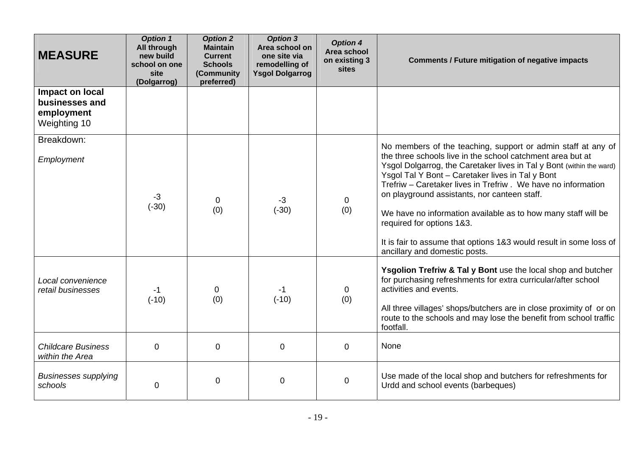| <b>MEASURE</b>                                                  | <b>Option 1</b><br>All through<br>new build<br>school on one<br>site<br>(Dolgarrog) | <b>Option 2</b><br><b>Maintain</b><br><b>Current</b><br><b>Schools</b><br>(Community<br>preferred) | <b>Option 3</b><br>Area school on<br>one site via<br>remodelling of<br><b>Ysgol Dolgarrog</b> | <b>Option 4</b><br>Area school<br>on existing 3<br>sites | <b>Comments / Future mitigation of negative impacts</b>                                                                                                                                                                                                                                                                                                                                                                                                                                                                                                                      |
|-----------------------------------------------------------------|-------------------------------------------------------------------------------------|----------------------------------------------------------------------------------------------------|-----------------------------------------------------------------------------------------------|----------------------------------------------------------|------------------------------------------------------------------------------------------------------------------------------------------------------------------------------------------------------------------------------------------------------------------------------------------------------------------------------------------------------------------------------------------------------------------------------------------------------------------------------------------------------------------------------------------------------------------------------|
| Impact on local<br>businesses and<br>employment<br>Weighting 10 |                                                                                     |                                                                                                    |                                                                                               |                                                          |                                                                                                                                                                                                                                                                                                                                                                                                                                                                                                                                                                              |
| Breakdown:<br>Employment                                        | $-3$<br>$(-30)$                                                                     | 0<br>(0)                                                                                           | $-3$<br>$(-30)$                                                                               | 0<br>(0)                                                 | No members of the teaching, support or admin staff at any of<br>the three schools live in the school catchment area but at<br>Ysgol Dolgarrog, the Caretaker lives in Tal y Bont (within the ward)<br>Ysgol Tal Y Bont - Caretaker lives in Tal y Bont<br>Trefriw - Caretaker lives in Trefriw . We have no information<br>on playground assistants, nor canteen staff.<br>We have no information available as to how many staff will be<br>required for options 1&3.<br>It is fair to assume that options 1&3 would result in some loss of<br>ancillary and domestic posts. |
| Local convenience<br>retail businesses                          | $-1$<br>$(-10)$                                                                     | 0<br>(0)                                                                                           | -1<br>$(-10)$                                                                                 | $\overline{0}$<br>(0)                                    | Ysgolion Trefriw & Tal y Bont use the local shop and butcher<br>for purchasing refreshments for extra curricular/after school<br>activities and events.<br>All three villages' shops/butchers are in close proximity of or on<br>route to the schools and may lose the benefit from school traffic<br>footfall.                                                                                                                                                                                                                                                              |
| <b>Childcare Business</b><br>within the Area                    | $\mathbf 0$                                                                         | $\mathbf 0$                                                                                        | $\overline{0}$                                                                                | $\overline{0}$                                           | None                                                                                                                                                                                                                                                                                                                                                                                                                                                                                                                                                                         |
| <b>Businesses supplying</b><br>schools                          | $\mathbf 0$                                                                         | $\mathbf 0$                                                                                        | $\mathbf 0$                                                                                   | 0                                                        | Use made of the local shop and butchers for refreshments for<br>Urdd and school events (barbeques)                                                                                                                                                                                                                                                                                                                                                                                                                                                                           |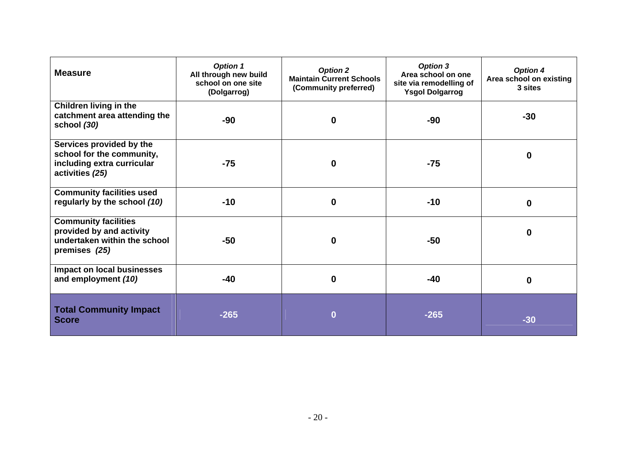| <b>Measure</b>                                                                                           | <b>Option 1</b><br>All through new build<br>school on one site<br>(Dolgarrog) | <b>Option 2</b><br><b>Maintain Current Schools</b><br>(Community preferred) | <b>Option 3</b><br>Area school on one<br>site via remodelling of<br><b>Ysgol Dolgarrog</b> | <b>Option 4</b><br>Area school on existing<br>3 sites |
|----------------------------------------------------------------------------------------------------------|-------------------------------------------------------------------------------|-----------------------------------------------------------------------------|--------------------------------------------------------------------------------------------|-------------------------------------------------------|
| <b>Children living in the</b><br>catchment area attending the<br>school (30)                             | $-90$                                                                         | 0                                                                           | $-90$                                                                                      | $-30$                                                 |
| Services provided by the<br>school for the community,<br>including extra curricular<br>activities (25)   | $-75$                                                                         | 0                                                                           | $-75$                                                                                      | O                                                     |
| <b>Community facilities used</b><br>regularly by the school (10)                                         | $-10$                                                                         | $\mathbf{0}$                                                                | $-10$                                                                                      | $\bf{0}$                                              |
| <b>Community facilities</b><br>provided by and activity<br>undertaken within the school<br>premises (25) | $-50$                                                                         | 0                                                                           | $-50$                                                                                      | $\Omega$                                              |
| <b>Impact on local businesses</b><br>and employment (10)                                                 | $-40$                                                                         | $\mathbf 0$                                                                 | -40                                                                                        | $\mathbf{0}$                                          |
| <b>Total Community Impact</b><br><b>Score</b>                                                            | $-265$                                                                        | $\bf{0}$                                                                    | $-265$                                                                                     | $-30$                                                 |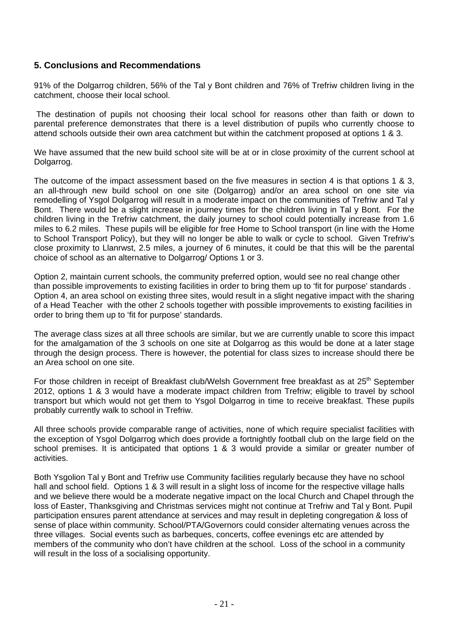## **5. Conclusions and Recommendations**

91% of the Dolgarrog children, 56% of the Tal y Bont children and 76% of Trefriw children living in the catchment, choose their local school.

 The destination of pupils not choosing their local school for reasons other than faith or down to parental preference demonstrates that there is a level distribution of pupils who currently choose to attend schools outside their own area catchment but within the catchment proposed at options 1 & 3.

We have assumed that the new build school site will be at or in close proximity of the current school at Dolgarrog.

The outcome of the impact assessment based on the five measures in section 4 is that options 1 & 3, an all-through new build school on one site (Dolgarrog) and/or an area school on one site via remodelling of Ysgol Dolgarrog will result in a moderate impact on the communities of Trefriw and Tal y Bont. There would be a slight increase in journey times for the children living in Tal y Bont. For the children living in the Trefriw catchment, the daily journey to school could potentially increase from 1.6 miles to 6.2 miles. These pupils will be eligible for free Home to School transport (in line with the Home to School Transport Policy), but they will no longer be able to walk or cycle to school. Given Trefriw's close proximity to Llanrwst, 2.5 miles, a journey of 6 minutes, it could be that this will be the parental choice of school as an alternative to Dolgarrog/ Options 1 or 3.

Option 2, maintain current schools, the community preferred option, would see no real change other than possible improvements to existing facilities in order to bring them up to 'fit for purpose' standards . Option 4, an area school on existing three sites, would result in a slight negative impact with the sharing of a Head Teacher with the other 2 schools together with possible improvements to existing facilities in order to bring them up to 'fit for purpose' standards.

The average class sizes at all three schools are similar, but we are currently unable to score this impact for the amalgamation of the 3 schools on one site at Dolgarrog as this would be done at a later stage through the design process. There is however, the potential for class sizes to increase should there be an Area school on one site.

For those children in receipt of Breakfast club/Welsh Government free breakfast as at 25<sup>th</sup> September 2012, options 1 & 3 would have a moderate impact children from Trefriw; eligible to travel by school transport but which would not get them to Ysgol Dolgarrog in time to receive breakfast. These pupils probably currently walk to school in Trefriw.

All three schools provide comparable range of activities, none of which require specialist facilities with the exception of Ysgol Dolgarrog which does provide a fortnightly football club on the large field on the school premises. It is anticipated that options 1 & 3 would provide a similar or greater number of activities.

Both Ysgolion Tal y Bont and Trefriw use Community facilities regularly because they have no school hall and school field. Options 1 & 3 will result in a slight loss of income for the respective village halls and we believe there would be a moderate negative impact on the local Church and Chapel through the loss of Easter, Thanksgiving and Christmas services might not continue at Trefriw and Tal y Bont. Pupil participation ensures parent attendance at services and may result in depleting congregation & loss of sense of place within community. School/PTA/Governors could consider alternating venues across the three villages. Social events such as barbeques, concerts, coffee evenings etc are attended by members of the community who don't have children at the school. Loss of the school in a community will result in the loss of a socialising opportunity.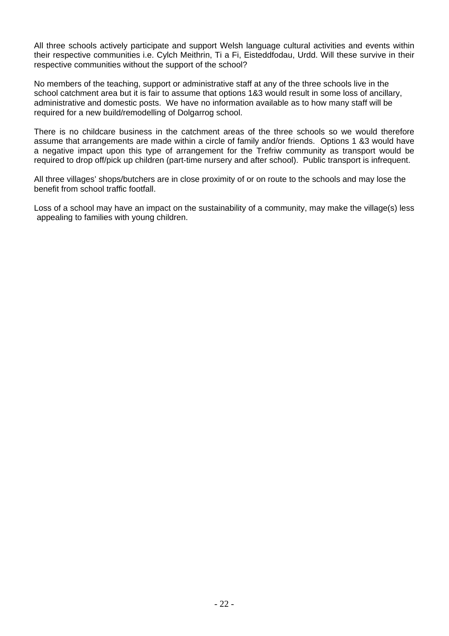All three schools actively participate and support Welsh language cultural activities and events within their respective communities i.e. Cylch Meithrin, Ti a Fi, Eisteddfodau, Urdd. Will these survive in their respective communities without the support of the school?

No members of the teaching, support or administrative staff at any of the three schools live in the school catchment area but it is fair to assume that options 1&3 would result in some loss of ancillary, administrative and domestic posts. We have no information available as to how many staff will be required for a new build/remodelling of Dolgarrog school.

There is no childcare business in the catchment areas of the three schools so we would therefore assume that arrangements are made within a circle of family and/or friends. Options 1 &3 would have a negative impact upon this type of arrangement for the Trefriw community as transport would be required to drop off/pick up children (part-time nursery and after school). Public transport is infrequent.

All three villages' shops/butchers are in close proximity of or on route to the schools and may lose the benefit from school traffic footfall.

Loss of a school may have an impact on the sustainability of a community, may make the village(s) less appealing to families with young children.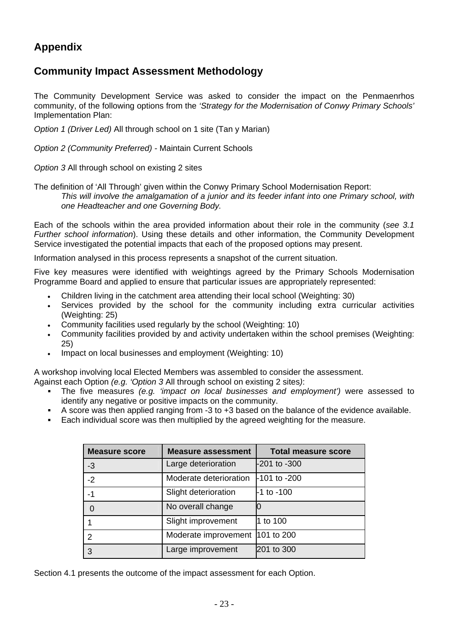## **Appendix**

## **Community Impact Assessment Methodology**

The Community Development Service was asked to consider the impact on the Penmaenrhos community, of the following options from the *'Strategy for the Modernisation of Conwy Primary Schools'* Implementation Plan:

*Option 1 (Driver Led)* All through school on 1 site (Tan y Marian)

*Option 2 (Community Preferred) -* Maintain Current Schools

*Option 3* All through school on existing 2 sites

The definition of 'All Through' given within the Conwy Primary School Modernisation Report: *This will involve the amalgamation of a junior and its feeder infant into one Primary school, with one Headteacher and one Governing Body.* 

Each of the schools within the area provided information about their role in the community (*see 3.1 Further school information*). Using these details and other information, the Community Development Service investigated the potential impacts that each of the proposed options may present.

Information analysed in this process represents a snapshot of the current situation.

Five key measures were identified with weightings agreed by the Primary Schools Modernisation Programme Board and applied to ensure that particular issues are appropriately represented:

- Children living in the catchment area attending their local school (Weighting: 30)
- Services provided by the school for the community including extra curricular activities (Weighting: 25)
- Community facilities used regularly by the school (Weighting: 10)
- Community facilities provided by and activity undertaken within the school premises (Weighting: 25)
- Impact on local businesses and employment (Weighting: 10)

A workshop involving local Elected Members was assembled to consider the assessment. Against each Option *(e.g. 'Option 3* All through school on existing 2 sites*)*:

- The five measures *(e.g. 'impact on local businesses and employment')* were assessed to identify any negative or positive impacts on the community.
- A score was then applied ranging from -3 to +3 based on the balance of the evidence available.
- Each individual score was then multiplied by the agreed weighting for the measure.

| <b>Measure score</b> | <b>Measure assessment</b>       | <b>Total measure score</b> |
|----------------------|---------------------------------|----------------------------|
| -3                   | Large deterioration             | -201 to -300               |
| $-2$                 | Moderate deterioration          | $-101$ to $-200$           |
| $-1$                 | Slight deterioration            | $-1$ to $-100$             |
| $\Omega$             | No overall change               |                            |
|                      | Slight improvement              | 1 to 100                   |
| $\mathcal{P}$        | Moderate improvement 101 to 200 |                            |
| 3                    | Large improvement               | 201 to 300                 |

Section 4.1 presents the outcome of the impact assessment for each Option.